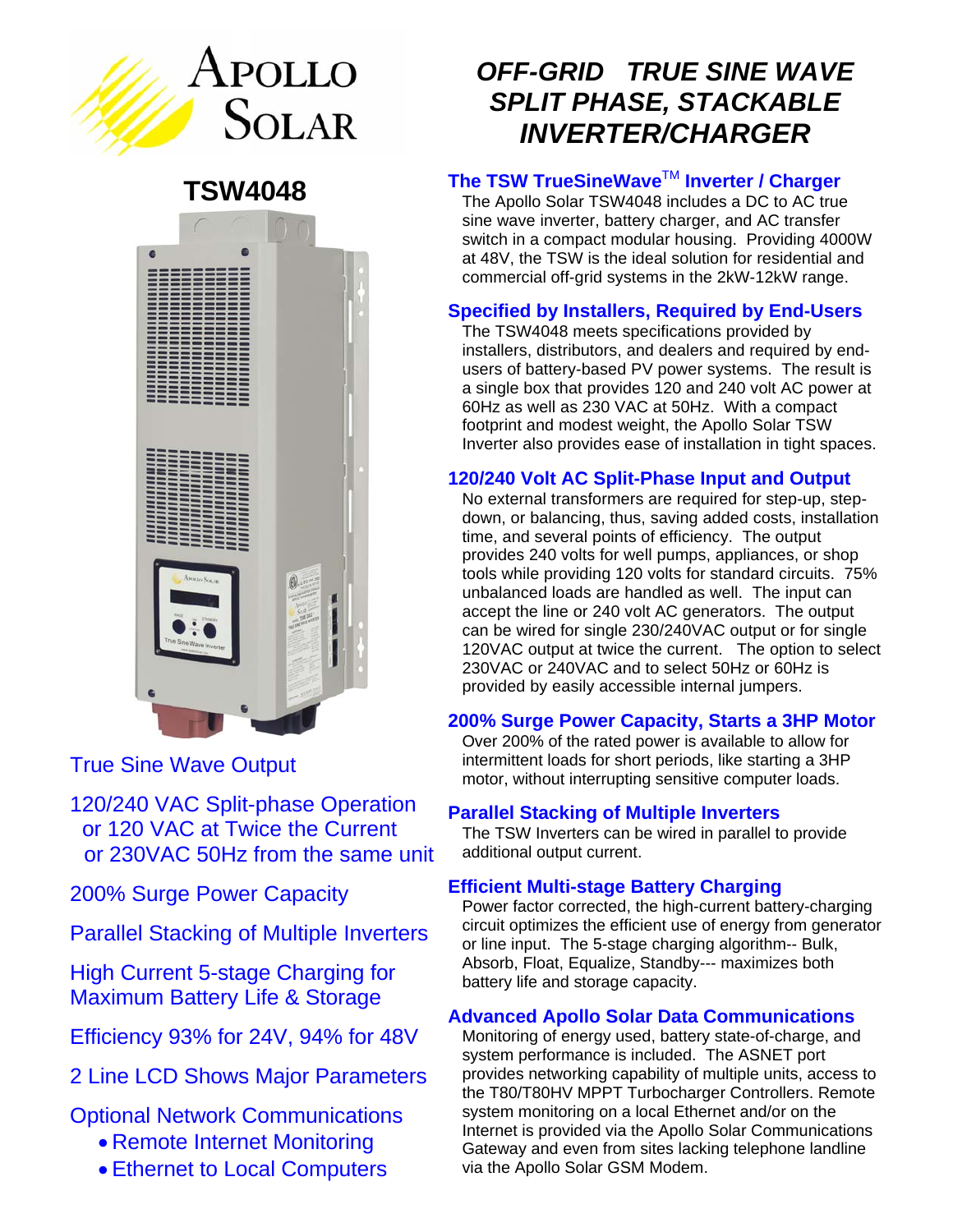

**TSW4048** 



True Sine Wave Output

120/240 VAC Split-phase Operation or 120 VAC at Twice the Current or 230VAC 50Hz from the same unit

200% Surge Power Capacity

Parallel Stacking of Multiple Inverters

High Current 5-stage Charging for Maximum Battery Life & Storage

Efficiency 93% for 24V, 94% for 48V

2 Line LCD Shows Major Parameters

Optional Network Communications

- Remote Internet Monitoring
- Ethernet to Local Computers

# *OFF-GRID TRUE SINE WAVE SPLIT PHASE, STACKABLE INVERTER/CHARGER*

### **The TSW TrueSineWave™ Inverter / Charger**

The Apollo Solar TSW4048 includes a DC to AC true sine wave inverter, battery charger, and AC transfer switch in a compact modular housing. Providing 4000W at 48V, the TSW is the ideal solution for residential and commercial off-grid systems in the 2kW-12kW range.

# **Specified by Installers, Required by End-Users**

The TSW4048 meets specifications provided by installers, distributors, and dealers and required by endusers of battery-based PV power systems. The result is a single box that provides 120 and 240 volt AC power at 60Hz as well as 230 VAC at 50Hz. With a compact footprint and modest weight, the Apollo Solar TSW Inverter also provides ease of installation in tight spaces.

# **120/240 Volt AC Split-Phase Input and Output**

No external transformers are required for step-up, stepdown, or balancing, thus, saving added costs, installation time, and several points of efficiency. The output provides 240 volts for well pumps, appliances, or shop tools while providing 120 volts for standard circuits. 75% unbalanced loads are handled as well. The input can accept the line or 240 volt AC generators. The output can be wired for single 230/240VAC output or for single 120VAC output at twice the current. The option to select 230VAC or 240VAC and to select 50Hz or 60Hz is provided by easily accessible internal jumpers.

#### **200% Surge Power Capacity, Starts a 3HP Motor**

Over 200% of the rated power is available to allow for intermittent loads for short periods, like starting a 3HP motor, without interrupting sensitive computer loads.

#### **Parallel Stacking of Multiple Inverters**

The TSW Inverters can be wired in parallel to provide additional output current.

#### **Efficient Multi-stage Battery Charging**

Power factor corrected, the high-current battery-charging circuit optimizes the efficient use of energy from generator or line input. The 5-stage charging algorithm-- Bulk, Absorb, Float, Equalize, Standby--- maximizes both battery life and storage capacity.

#### **Advanced Apollo Solar Data Communications**

Monitoring of energy used, battery state-of-charge, and system performance is included. The ASNET port provides networking capability of multiple units, access to the T80/T80HV MPPT Turbocharger Controllers. Remote system monitoring on a local Ethernet and/or on the Internet is provided via the Apollo Solar Communications Gateway and even from sites lacking telephone landline via the Apollo Solar GSM Modem.